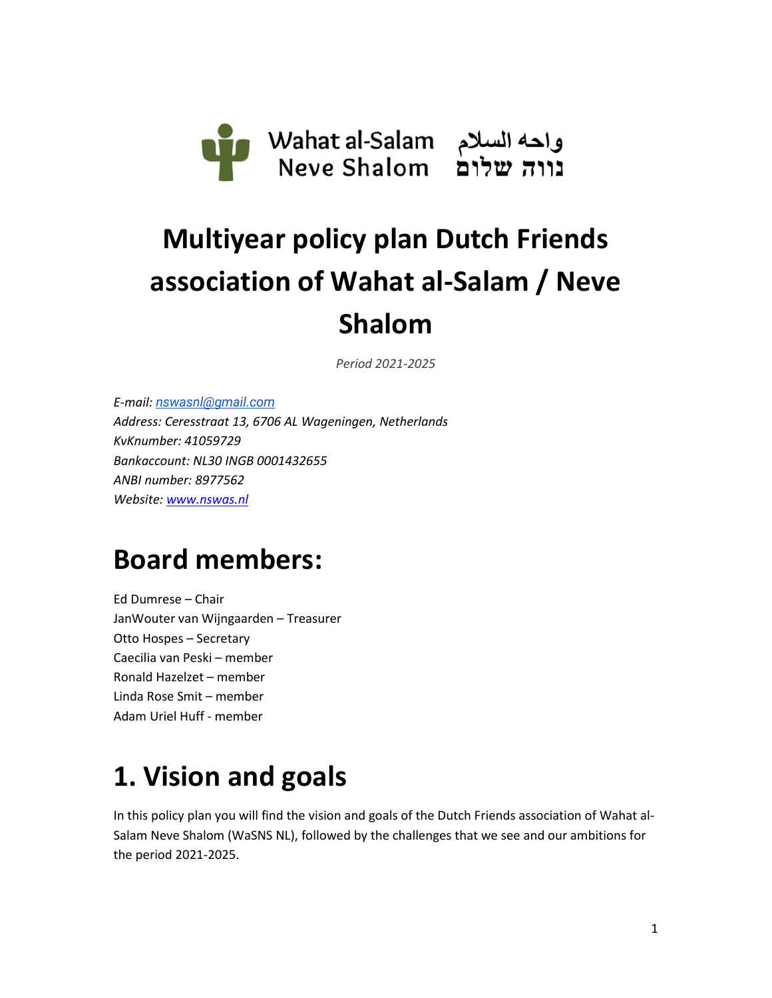

# **Multiyear policy plan Dutch Friends association of Wahat al-Salam / Neve Shalom**

*Period 2021-2025*

*E-mail: [nswasnl@gmail.com](mailto:nswasnl@gmail.com) Address: Ceresstraat 13, 6706 AL Wageningen, Netherlands KvKnumber: 41059729 Bankaccount: NL30 INGB 0001432655 ANBI number: 8977562 Website: [www.nswas.nl](http://www.nswas.nl/)*

### **Board members:**

Ed Dumrese – Chair JanWouter van Wijngaarden – Treasurer Otto Hospes – Secretary Caecilia van Peski – member Ronald Hazelzet – member Linda Rose Smit – member Adam Uriel Huff - member

### **1. Vision and goals**

In this policy plan you will find the vision and goals of the Dutch Friends association of Wahat al-Salam Neve Shalom (WaSNS NL), followed by the challenges that we see and our ambitions for the period 2021-2025.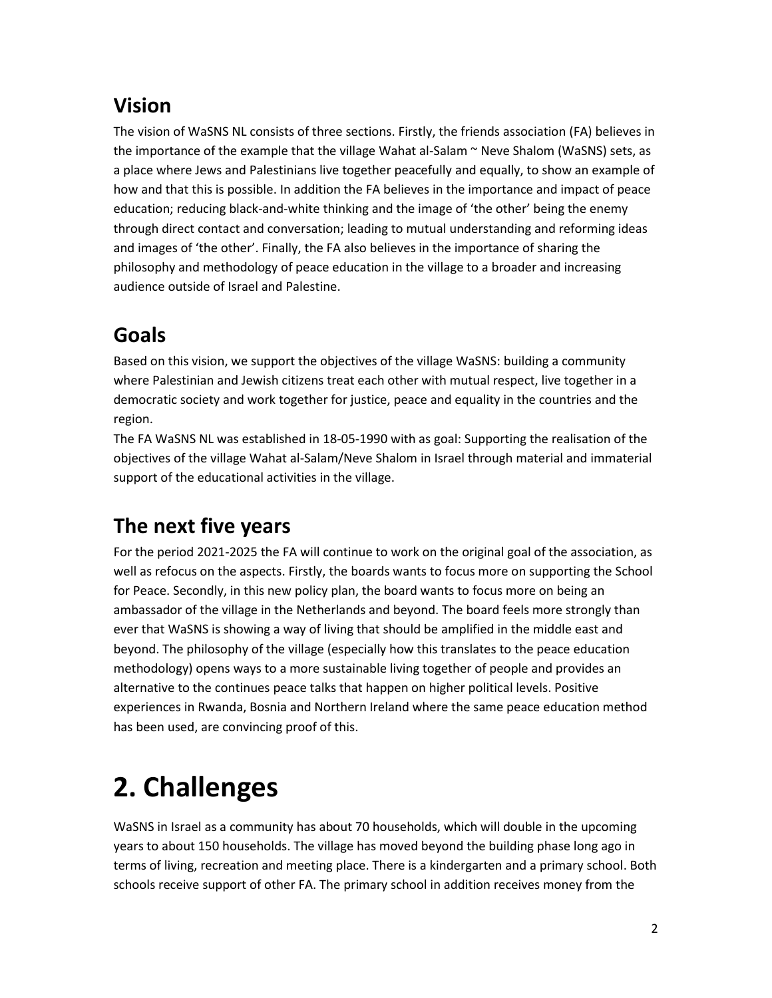#### **Vision**

The vision of WaSNS NL consists of three sections. Firstly, the friends association (FA) believes in the importance of the example that the village Wahat al-Salam  $\sim$  Neve Shalom (WaSNS) sets, as a place where Jews and Palestinians live together peacefully and equally, to show an example of how and that this is possible. In addition the FA believes in the importance and impact of peace education; reducing black-and-white thinking and the image of 'the other' being the enemy through direct contact and conversation; leading to mutual understanding and reforming ideas and images of 'the other'. Finally, the FA also believes in the importance of sharing the philosophy and methodology of peace education in the village to a broader and increasing audience outside of Israel and Palestine.

#### **Goals**

Based on this vision, we support the objectives of the village WaSNS: building a community where Palestinian and Jewish citizens treat each other with mutual respect, live together in a democratic society and work together for justice, peace and equality in the countries and the region.

The FA WaSNS NL was established in 18-05-1990 with as goal: Supporting the realisation of the objectives of the village Wahat al-Salam/Neve Shalom in Israel through material and immaterial support of the educational activities in the village.

#### **The next five years**

For the period 2021-2025 the FA will continue to work on the original goal of the association, as well as refocus on the aspects. Firstly, the boards wants to focus more on supporting the School for Peace. Secondly, in this new policy plan, the board wants to focus more on being an ambassador of the village in the Netherlands and beyond. The board feels more strongly than ever that WaSNS is showing a way of living that should be amplified in the middle east and beyond. The philosophy of the village (especially how this translates to the peace education methodology) opens ways to a more sustainable living together of people and provides an alternative to the continues peace talks that happen on higher political levels. Positive experiences in Rwanda, Bosnia and Northern Ireland where the same peace education method has been used, are convincing proof of this.

## **2. Challenges**

WaSNS in Israel as a community has about 70 households, which will double in the upcoming years to about 150 households. The village has moved beyond the building phase long ago in terms of living, recreation and meeting place. There is a kindergarten and a primary school. Both schools receive support of other FA. The primary school in addition receives money from the